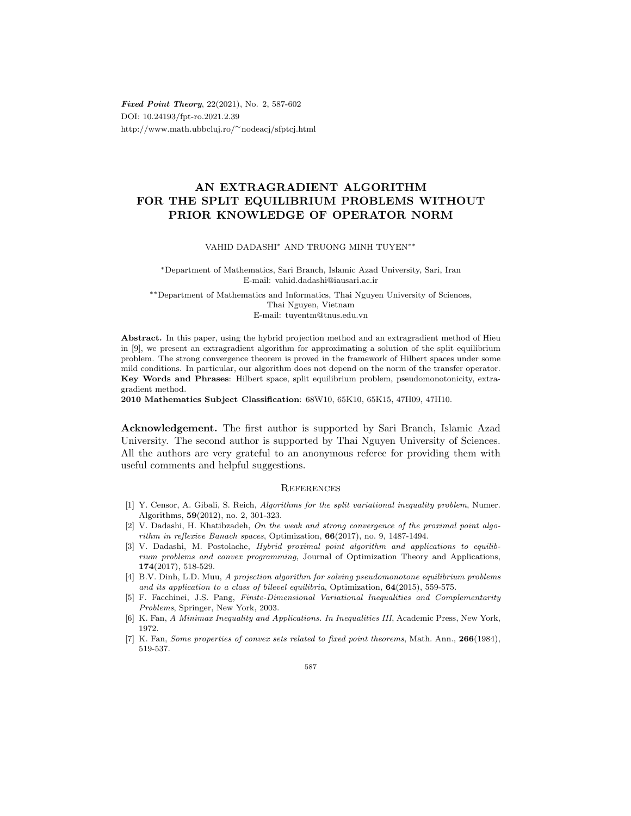Fixed Point Theory, 22(2021), No. 2, 587-602 DOI: 10.24193/fpt-ro.2021.2.39 http://www.math.ubbcluj.ro/∼nodeacj/sfptcj.html

## AN EXTRAGRADIENT ALGORITHM FOR THE SPLIT EQUILIBRIUM PROBLEMS WITHOUT PRIOR KNOWLEDGE OF OPERATOR NORM

## VAHID DADASHI<sup>∗</sup> AND TRUONG MINH TUYEN∗∗

<sup>∗</sup>Department of Mathematics, Sari Branch, Islamic Azad University, Sari, Iran E-mail: vahid.dadashi@iausari.ac.ir

∗∗Department of Mathematics and Informatics, Thai Nguyen University of Sciences, Thai Nguyen, Vietnam

E-mail: tuyentm@tnus.edu.vn

Abstract. In this paper, using the hybrid projection method and an extragradient method of Hieu in [9], we present an extragradient algorithm for approximating a solution of the split equilibrium problem. The strong convergence theorem is proved in the framework of Hilbert spaces under some mild conditions. In particular, our algorithm does not depend on the norm of the transfer operator. Key Words and Phrases: Hilbert space, split equilibrium problem, pseudomonotonicity, extragradient method.

2010 Mathematics Subject Classification: 68W10, 65K10, 65K15, 47H09, 47H10.

Acknowledgement. The first author is supported by Sari Branch, Islamic Azad University. The second author is supported by Thai Nguyen University of Sciences. All the authors are very grateful to an anonymous referee for providing them with useful comments and helpful suggestions.

## **REFERENCES**

- [1] Y. Censor, A. Gibali, S. Reich, Algorithms for the split variational inequality problem, Numer. Algorithms, 59(2012), no. 2, 301-323.
- [2] V. Dadashi, H. Khatibzadeh, On the weak and strong convergence of the proximal point algorithm in reflexive Banach spaces, Optimization, 66(2017), no. 9, 1487-1494.
- [3] V. Dadashi, M. Postolache, Hybrid proximal point algorithm and applications to equilibrium problems and convex programming, Journal of Optimization Theory and Applications, 174(2017), 518-529.
- [4] B.V. Dinh, L.D. Muu, A projection algorithm for solving pseudomonotone equilibrium problems and its application to a class of bilevel equilibria, Optimization,  $64(2015)$ , 559-575.
- [5] F. Facchinei, J.S. Pang, Finite-Dimensional Variational Inequalities and Complementarity Problems, Springer, New York, 2003.
- [6] K. Fan, A Minimax Inequality and Applications. In Inequalities III, Academic Press, New York, 1972.
- [7] K. Fan, Some properties of convex sets related to fixed point theorems, Math. Ann., 266(1984), 519-537.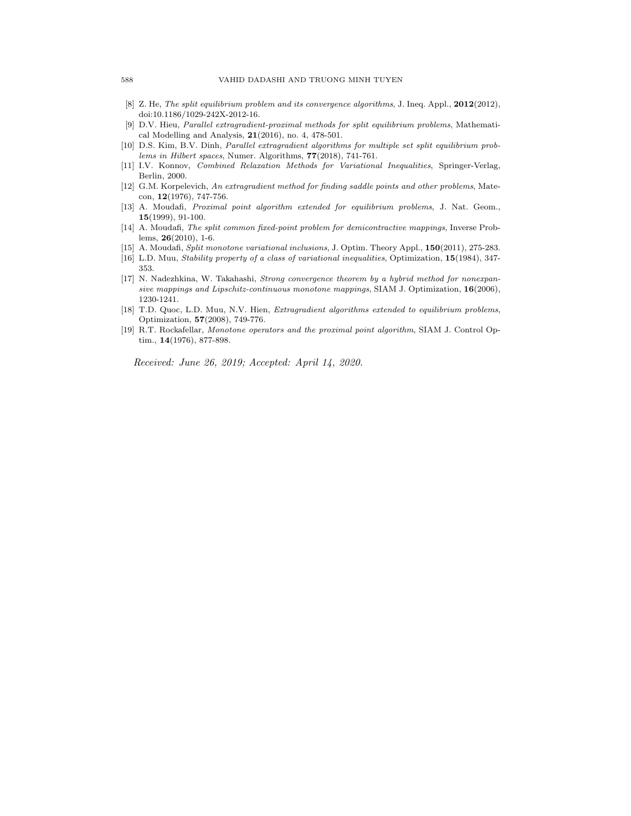- [8] Z. He, The split equilibrium problem and its convergence algorithms, J. Ineq. Appl., 2012(2012), doi:10.1186/1029-242X-2012-16.
- [9] D.V. Hieu, Parallel extragradient-proximal methods for split equilibrium problems, Mathematical Modelling and Analysis, 21(2016), no. 4, 478-501.
- [10] D.S. Kim, B.V. Dinh, Parallel extragradient algorithms for multiple set split equilibrium problems in Hilbert spaces, Numer. Algorithms, 77(2018), 741-761.
- [11] I.V. Konnov, Combined Relaxation Methods for Variational Inequalities, Springer-Verlag, Berlin, 2000.
- [12] G.M. Korpelevich, An extragradient method for finding saddle points and other problems, Matecon, 12(1976), 747-756.
- [13] A. Moudafi, *Proximal point algorithm extended for equilibrium problems*, J. Nat. Geom., 15(1999), 91-100.
- [14] A. Moudafi, The split common fixed-point problem for demicontractive mappings, Inverse Problems, 26(2010), 1-6.
- [15] A. Moudafi, Split monotone variational inclusions, J. Optim. Theory Appl., 150(2011), 275-283.
- [16] L.D. Muu, Stability property of a class of variational inequalities, Optimization, 15(1984), 347- 353.
- [17] N. Nadezhkina, W. Takahashi, Strong convergence theorem by a hybrid method for nonexpansive mappings and Lipschitz-continuous monotone mappings, SIAM J. Optimization,  $16(2006)$ , 1230-1241.
- [18] T.D. Quoc, L.D. Muu, N.V. Hien, *Extragradient algorithms extended to equilibrium problems*, Optimization, 57(2008), 749-776.
- [19] R.T. Rockafellar, Monotone operators and the proximal point algorithm, SIAM J. Control Optim., 14(1976), 877-898.

Received: June 26, 2019; Accepted: April 14, 2020.